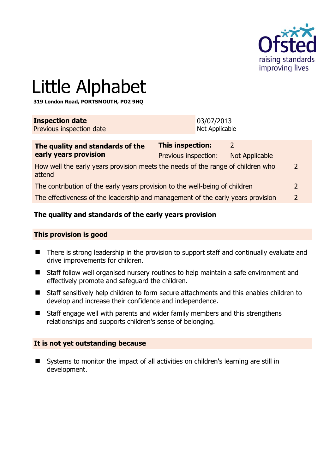

# Little Alphabet

**319 London Road, PORTSMOUTH, PO2 9HQ** 

| <b>Inspection date</b><br>Previous inspection date                              |                         | 03/07/2013<br>Not Applicable |                |
|---------------------------------------------------------------------------------|-------------------------|------------------------------|----------------|
| The quality and standards of the                                                | <b>This inspection:</b> |                              | $\mathcal{L}$  |
| early years provision                                                           | Previous inspection:    |                              | Not Applicable |
| How well the early vears provision meets the needs of the range of children who |                         |                              |                |

How well the early years provision meets the needs of the range of children who attend 2

The contribution of the early years provision to the well-being of children 2

The effectiveness of the leadership and management of the early years provision 2

# **The quality and standards of the early years provision**

#### **This provision is good**

- There is strong leadership in the provision to support staff and continually evaluate and drive improvements for children.
- Staff follow well organised nursery routines to help maintain a safe environment and effectively promote and safeguard the children.
- Staff sensitively help children to form secure attachments and this enables children to develop and increase their confidence and independence.
- Staff engage well with parents and wider family members and this strengthens relationships and supports children's sense of belonging.

#### **It is not yet outstanding because**

■ Systems to monitor the impact of all activities on children's learning are still in development.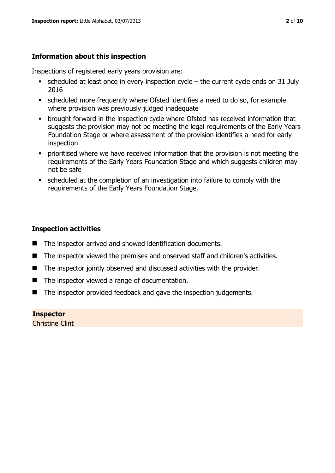# **Information about this inspection**

Inspections of registered early years provision are:

- scheduled at least once in every inspection cycle the current cycle ends on 31 July 2016
- scheduled more frequently where Ofsted identifies a need to do so, for example where provision was previously judged inadequate
- **•** brought forward in the inspection cycle where Ofsted has received information that suggests the provision may not be meeting the legal requirements of the Early Years Foundation Stage or where assessment of the provision identifies a need for early inspection
- **•** prioritised where we have received information that the provision is not meeting the requirements of the Early Years Foundation Stage and which suggests children may not be safe
- scheduled at the completion of an investigation into failure to comply with the requirements of the Early Years Foundation Stage.

# **Inspection activities**

- The inspector arrived and showed identification documents.
- The inspector viewed the premises and observed staff and children's activities.
- The inspector jointly observed and discussed activities with the provider.
- The inspector viewed a range of documentation.
- The inspector provided feedback and gave the inspection judgements.

**Inspector** 

Christine Clint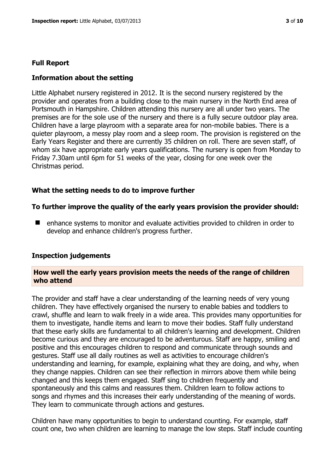#### **Full Report**

#### **Information about the setting**

Little Alphabet nursery registered in 2012. It is the second nursery registered by the provider and operates from a building close to the main nursery in the North End area of Portsmouth in Hampshire. Children attending this nursery are all under two years. The premises are for the sole use of the nursery and there is a fully secure outdoor play area. Children have a large playroom with a separate area for non-mobile babies. There is a quieter playroom, a messy play room and a sleep room. The provision is registered on the Early Years Register and there are currently 35 children on roll. There are seven staff, of whom six have appropriate early years qualifications. The nursery is open from Monday to Friday 7.30am until 6pm for 51 weeks of the year, closing for one week over the Christmas period.

#### **What the setting needs to do to improve further**

#### **To further improve the quality of the early years provision the provider should:**

■ enhance systems to monitor and evaluate activities provided to children in order to develop and enhance children's progress further.

#### **Inspection judgements**

#### **How well the early years provision meets the needs of the range of children who attend**

The provider and staff have a clear understanding of the learning needs of very young children. They have effectively organised the nursery to enable babies and toddlers to crawl, shuffle and learn to walk freely in a wide area. This provides many opportunities for them to investigate, handle items and learn to move their bodies. Staff fully understand that these early skills are fundamental to all children's learning and development. Children become curious and they are encouraged to be adventurous. Staff are happy, smiling and positive and this encourages children to respond and communicate through sounds and gestures. Staff use all daily routines as well as activities to encourage children's understanding and learning, for example, explaining what they are doing, and why, when they change nappies. Children can see their reflection in mirrors above them while being changed and this keeps them engaged. Staff sing to children frequently and spontaneously and this calms and reassures them. Children learn to follow actions to songs and rhymes and this increases their early understanding of the meaning of words. They learn to communicate through actions and gestures.

Children have many opportunities to begin to understand counting. For example, staff count one, two when children are learning to manage the low steps. Staff include counting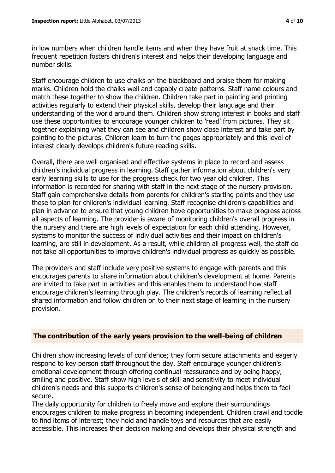in low numbers when children handle items and when they have fruit at snack time. This frequent repetition fosters children's interest and helps their developing language and number skills.

Staff encourage children to use chalks on the blackboard and praise them for making marks. Children hold the chalks well and capably create patterns. Staff name colours and match these together to show the children. Children take part in painting and printing activities regularly to extend their physical skills, develop their language and their understanding of the world around them. Children show strong interest in books and staff use these opportunities to encourage younger children to 'read' from pictures. They sit together explaining what they can see and children show close interest and take part by pointing to the pictures. Children learn to turn the pages appropriately and this level of interest clearly develops children's future reading skills.

Overall, there are well organised and effective systems in place to record and assess children's individual progress in learning. Staff gather information about children's very early learning skills to use for the progress check for two year old children. This information is recorded for sharing with staff in the next stage of the nursery provision. Staff gain comprehensive details from parents for children's starting points and they use these to plan for children's individual learning. Staff recognise children's capabilities and plan in advance to ensure that young children have opportunities to make progress across all aspects of learning. The provider is aware of monitoring children's overall progress in the nursery and there are high levels of expectation for each child attending. However, systems to monitor the success of individual activities and their impact on children's learning, are still in development. As a result, while children all progress well, the staff do not take all opportunities to improve children's individual progress as quickly as possible.

The providers and staff include very positive systems to engage with parents and this encourages parents to share information about children's development at home. Parents are invited to take part in activities and this enables them to understand how staff encourage children's learning through play. The children's records of learning reflect all shared information and follow children on to their next stage of learning in the nursery provision.

# **The contribution of the early years provision to the well-being of children**

Children show increasing levels of confidence; they form secure attachments and eagerly respond to key person staff throughout the day. Staff encourage younger children's emotional development through offering continual reassurance and by being happy, smiling and positive. Staff show high levels of skill and sensitivity to meet individual children's needs and this supports children's sense of belonging and helps them to feel secure.

The daily opportunity for children to freely move and explore their surroundings encourages children to make progress in becoming independent. Children crawl and toddle to find items of interest; they hold and handle toys and resources that are easily accessible. This increases their decision making and develops their physical strength and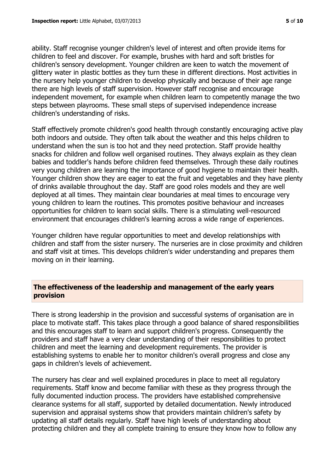ability. Staff recognise younger children's level of interest and often provide items for children to feel and discover. For example, brushes with hard and soft bristles for children's sensory development. Younger children are keen to watch the movement of glittery water in plastic bottles as they turn these in different directions. Most activities in the nursery help younger children to develop physically and because of their age range there are high levels of staff supervision. However staff recognise and encourage independent movement, for example when children learn to competently manage the two steps between playrooms. These small steps of supervised independence increase children's understanding of risks.

Staff effectively promote children's good health through constantly encouraging active play both indoors and outside. They often talk about the weather and this helps children to understand when the sun is too hot and they need protection. Staff provide healthy snacks for children and follow well organised routines. They always explain as they clean babies and toddler's hands before children feed themselves. Through these daily routines very young children are learning the importance of good hygiene to maintain their health. Younger children show they are eager to eat the fruit and vegetables and they have plenty of drinks available throughout the day. Staff are good roles models and they are well deployed at all times. They maintain clear boundaries at meal times to encourage very young children to learn the routines. This promotes positive behaviour and increases opportunities for children to learn social skills. There is a stimulating well-resourced environment that encourages children's learning across a wide range of experiences.

Younger children have regular opportunities to meet and develop relationships with children and staff from the sister nursery. The nurseries are in close proximity and children and staff visit at times. This develops children's wider understanding and prepares them moving on in their learning.

# **The effectiveness of the leadership and management of the early years provision**

There is strong leadership in the provision and successful systems of organisation are in place to motivate staff. This takes place through a good balance of shared responsibilities and this encourages staff to learn and support children's progress. Consequently the providers and staff have a very clear understanding of their responsibilities to protect children and meet the learning and development requirements. The provider is establishing systems to enable her to monitor children's overall progress and close any gaps in children's levels of achievement.

The nursery has clear and well explained procedures in place to meet all regulatory requirements. Staff know and become familiar with these as they progress through the fully documented induction process. The providers have established comprehensive clearance systems for all staff, supported by detailed documentation. Newly introduced supervision and appraisal systems show that providers maintain children's safety by updating all staff details regularly. Staff have high levels of understanding about protecting children and they all complete training to ensure they know how to follow any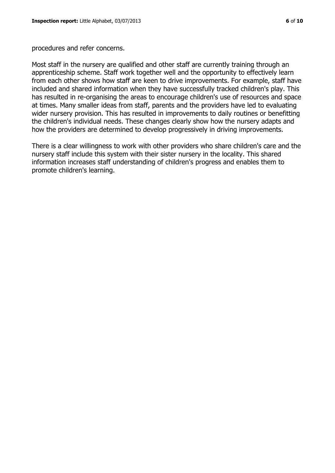procedures and refer concerns.

Most staff in the nursery are qualified and other staff are currently training through an apprenticeship scheme. Staff work together well and the opportunity to effectively learn from each other shows how staff are keen to drive improvements. For example, staff have included and shared information when they have successfully tracked children's play. This has resulted in re-organising the areas to encourage children's use of resources and space at times. Many smaller ideas from staff, parents and the providers have led to evaluating wider nursery provision. This has resulted in improvements to daily routines or benefitting the children's individual needs. These changes clearly show how the nursery adapts and how the providers are determined to develop progressively in driving improvements.

There is a clear willingness to work with other providers who share children's care and the nursery staff include this system with their sister nursery in the locality. This shared information increases staff understanding of children's progress and enables them to promote children's learning.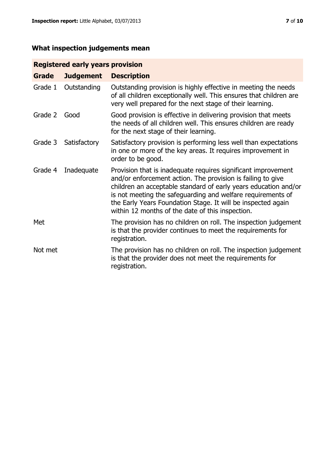# **What inspection judgements mean**

# **Registered early years provision**

| <b>Grade</b> | <b>Judgement</b> | <b>Description</b>                                                                                                                                                                                                                                                                                                                                                                 |
|--------------|------------------|------------------------------------------------------------------------------------------------------------------------------------------------------------------------------------------------------------------------------------------------------------------------------------------------------------------------------------------------------------------------------------|
| Grade 1      | Outstanding      | Outstanding provision is highly effective in meeting the needs<br>of all children exceptionally well. This ensures that children are<br>very well prepared for the next stage of their learning.                                                                                                                                                                                   |
| Grade 2      | Good             | Good provision is effective in delivering provision that meets<br>the needs of all children well. This ensures children are ready<br>for the next stage of their learning.                                                                                                                                                                                                         |
| Grade 3      | Satisfactory     | Satisfactory provision is performing less well than expectations<br>in one or more of the key areas. It requires improvement in<br>order to be good.                                                                                                                                                                                                                               |
| Grade 4      | Inadequate       | Provision that is inadequate requires significant improvement<br>and/or enforcement action. The provision is failing to give<br>children an acceptable standard of early years education and/or<br>is not meeting the safeguarding and welfare requirements of<br>the Early Years Foundation Stage. It will be inspected again<br>within 12 months of the date of this inspection. |
| Met          |                  | The provision has no children on roll. The inspection judgement<br>is that the provider continues to meet the requirements for<br>registration.                                                                                                                                                                                                                                    |
| Not met      |                  | The provision has no children on roll. The inspection judgement<br>is that the provider does not meet the requirements for<br>registration.                                                                                                                                                                                                                                        |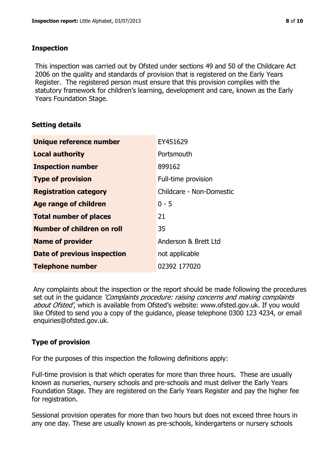### **Inspection**

This inspection was carried out by Ofsted under sections 49 and 50 of the Childcare Act 2006 on the quality and standards of provision that is registered on the Early Years Register. The registered person must ensure that this provision complies with the statutory framework for children's learning, development and care, known as the Early Years Foundation Stage.

# **Setting details**

| Unique reference number       | EY451629                 |
|-------------------------------|--------------------------|
| <b>Local authority</b>        | Portsmouth               |
| <b>Inspection number</b>      | 899162                   |
| <b>Type of provision</b>      | Full-time provision      |
| <b>Registration category</b>  | Childcare - Non-Domestic |
| <b>Age range of children</b>  | $0 - 5$                  |
| <b>Total number of places</b> | 21                       |
| Number of children on roll    | 35                       |
| <b>Name of provider</b>       | Anderson & Brett Ltd     |
| Date of previous inspection   | not applicable           |
| <b>Telephone number</b>       | 02392 177020             |

Any complaints about the inspection or the report should be made following the procedures set out in the guidance *'Complaints procedure: raising concerns and making complaints* about Ofsted', which is available from Ofsted's website: www.ofsted.gov.uk. If you would like Ofsted to send you a copy of the guidance, please telephone 0300 123 4234, or email enquiries@ofsted.gov.uk.

# **Type of provision**

For the purposes of this inspection the following definitions apply:

Full-time provision is that which operates for more than three hours. These are usually known as nurseries, nursery schools and pre-schools and must deliver the Early Years Foundation Stage. They are registered on the Early Years Register and pay the higher fee for registration.

Sessional provision operates for more than two hours but does not exceed three hours in any one day. These are usually known as pre-schools, kindergartens or nursery schools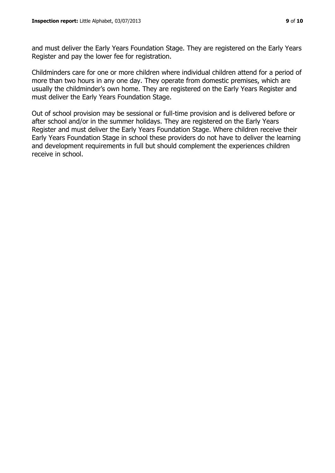and must deliver the Early Years Foundation Stage. They are registered on the Early Years Register and pay the lower fee for registration.

Childminders care for one or more children where individual children attend for a period of more than two hours in any one day. They operate from domestic premises, which are usually the childminder's own home. They are registered on the Early Years Register and must deliver the Early Years Foundation Stage.

Out of school provision may be sessional or full-time provision and is delivered before or after school and/or in the summer holidays. They are registered on the Early Years Register and must deliver the Early Years Foundation Stage. Where children receive their Early Years Foundation Stage in school these providers do not have to deliver the learning and development requirements in full but should complement the experiences children receive in school.